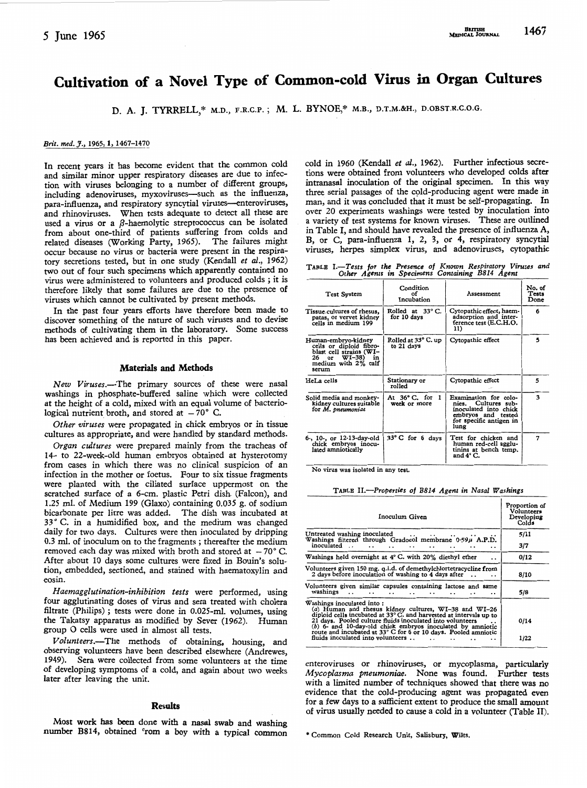# **Cultivation of a Novel Type of Common-cold Virus in Organ Cultures**

D. A. J. TYRRELL,\* M.D., F.R.C.P. ; M. L. BYNOE,\* M.B., D.T.M.&H., D.OBST.R.C.O.G.

# *Brit. med.* J., 1965, 1, 1467-1470

In recent years it has become evident that the common cold and similar minor upper respiratory diseases are due to infection with viruses belonging to a number of different groups, including adenoviruses, myxoviruses—such as the influenza, para-influenza, and respiratory syncytial viruses-enteroviruses, and rhinoviruses. When tests adequate to detect all these are used a virus or a  $\beta$ -haemolytic streptococcus can be isolated from about one-third of patients suffering from colds and related diseases (Working Party, 1965). The failures might occur because no virus or bacteria were present in the respiratory secretions tested, but in one study (Kendall *et* al., 1962) two out of four such specimens which apparently contained no virus were administered to volunteers and produced colds ; it is therefore likely that some failures are due to the presence of viruses which cannot be cultivated by present methods.

In the past four years efforts have therefore been made to discover something of the nature of such viruses and to devise methods of cultivating them in the laboratory. Some success has been achieved and is reported in this paper.

## Materials and Methods

*New Viruses.-The* primary sources of these were nasal washings in phosphate-buffered saline which were collected at the height of a cold, mixed with an equal volume of bacteriological nutrient broth, and stored at  $-70^{\circ}$  C.

*Other viruses* were propagated in chick embryos or in tissue cultures as appropriate, and were handled by standard methods.

*Organ czdtures* were prepared mainly from the tracheas of 14- to 22-week-old human embryos obtained at hysterotomy from cases in which there was no clinical suspicion of an infection in the mother or foetus. Four to six tissue fragments were planted with the ciliated surface uppermost on the scratched surface of a 6-cm. plastic Petri dish (Falcon), and 1.25 ml. of Medium 199 (Glaxo) containing 0.035 g. of sodium bicarbonate per litre was added. The dish was incubated at 33 ° C. in a humidified box, and the medium was changed daily for two days. Cultures were then inoculated by dripping 0.3 ml. of inoculum on to the fragments ; thereafter the medium removed each day was mixed with broth and stored at  $-70^{\circ}$  C. After about 10 days some cultures were fixed in Bouin's solution, embedded, sectioned, and stained with haematoxylin and eosin.

*Haemagglutination-inhibition tests* were performed, using four agglutinating doses of virus and sera treated with cholera filtrate (Philips) ; tests were done in 0.025-ml. volumes, using the Takatsy apparatus as modified by Sever (1962). Human group O cells were used in almost all tests.

*Vo/~nteers.-The* methods of obtaining, housing, and observing volunteers have been described elsewhere (Andrewes, 1949). Sera were collected from some volunteers at the time of developing symptoms of a cold, and again about two weeks later after leaving the unit.

# Results

Most work has been done with a nasal swab and washing number B814, obtained 'rom a boy with a typical common cold in 1960 (Kendall *et* al., 1962). Further infectious secretions were obtained from volunteers who developed colds after intranasal inoculation of the original specimen. In this way three serial passages of the cold-producing agent were made in man, and it was concluded that it must be self-propagating. In over 20 experiments washings were tested by inoculation into a variety of test systems for known viruses. These are outlined in Table I, and should have revealed the presence of influenza A, B, or C, para-influenza 1, 2, 3, or 4, respiratory syncytial viruses, herpes simplex virus, and adenoviruses, cytopathic

TABLE *I.-Tests for the Presence of Known Respiratory Viruses and Other Agents in Specimens Containing 8814 Agent* 

| <b>Test System</b>                                                                                                                | Condition<br>οf<br>Incubation     | Assessment                                                                                                                     | No. of<br>Tests<br>Done |
|-----------------------------------------------------------------------------------------------------------------------------------|-----------------------------------|--------------------------------------------------------------------------------------------------------------------------------|-------------------------|
| Tissue cultures of rhesus,<br>patas, or vervet kidney<br>cells in medium 199                                                      | Rolled at 33°C.<br>for 10 days    | Cytopathic effect, haem-<br>adsorption and inter-<br>ference test (E.C.H.O.<br>11)                                             |                         |
| Human-embryo-kidney<br>cells or diploid fibro-<br>blast cell strains (WI-<br>$26$ or WI-38)<br>in<br>medium with 2% calf<br>serum | Rolled at 33° C. up<br>to 21 days | Cytopathic effect                                                                                                              | 5                       |
| HeLa cells                                                                                                                        | Stationary or<br>rolled           | Cytopathic effect                                                                                                              | 5                       |
| Solid media and monkey-<br>kidney cultures suitable<br>for M. pneumoniae                                                          | At 36°C. for 1<br>week or more    | Examination for colo-<br>nies. Cultures sub-<br>inoculated into chick<br>embryos and tested<br>for specific antigen in<br>lung | 3                       |
| 6-, 10-, or 12-13-day-old<br>chick embryos inocu-<br>lated amniotically                                                           | 33°C for 6 days                   | Test for chicken and<br>human red-cell agglu-<br>tinins at bench temp.<br>and $4^{\circ}$ C.                                   | 7                       |

No virus was isolated in any test.

| TABLE II.-Properties of B814 Agent in Nasal Washings |  |  |  |  |  |  |
|------------------------------------------------------|--|--|--|--|--|--|
|------------------------------------------------------|--|--|--|--|--|--|

| Inoculum Given                                                                                                                                                                                                                                                                                                                                                                                    | Proportion of<br>Volunteers<br>Developing<br>Colds |
|---------------------------------------------------------------------------------------------------------------------------------------------------------------------------------------------------------------------------------------------------------------------------------------------------------------------------------------------------------------------------------------------------|----------------------------------------------------|
| Untreated washing inoculated<br>Washings filtered through Gradocol membrane 0.59µ A.P.D.                                                                                                                                                                                                                                                                                                          | 5/11                                               |
| inoculated                                                                                                                                                                                                                                                                                                                                                                                        | 3/7                                                |
| Washings held overnight at 4°C. with 20% diethyl ether<br>. .                                                                                                                                                                                                                                                                                                                                     | 0/12                                               |
| Volunteers given 150 mg. q.i.d. of demethylchlortetracycline from<br>2 days before inoculation of washing to 4 days after<br>. .                                                                                                                                                                                                                                                                  | 8/10                                               |
| Volunteers given similar capsules containing lactose and same<br>washings<br>$\ddot{\phantom{a}}$<br>. .<br>. .                                                                                                                                                                                                                                                                                   | 5/8                                                |
| Washings inoculated into:<br>(a) Human and rhesus kidney cultures, WI-38 and WI-26<br>diploid cells incubated at 33° C. and harvested at intervals up to<br>21 days. Pooled culture fluids inoculated into volunteers<br>(b) 6- and 10-day-old chick embryos inoculated by amniotic<br>route and incubated at 33° C for 6 or 10 days. Pooled amniotic<br>fluids inoculated into volunteers<br>. . | 0/14<br>1/22                                       |

enteroviruses or rhinoviruses, or mycoplasma, particularly *Mycop/asma pneumoniae.* None was found. Further tests with a limited number of techniques showed that there was no evidence that the cold-producing agent was propagated even for a few days to a sufficient extent to produce the small amount of virus usually needed to cause a cold in a volunteer (Table II).

• Common Cold Research Unit, Salisbury, Wilts.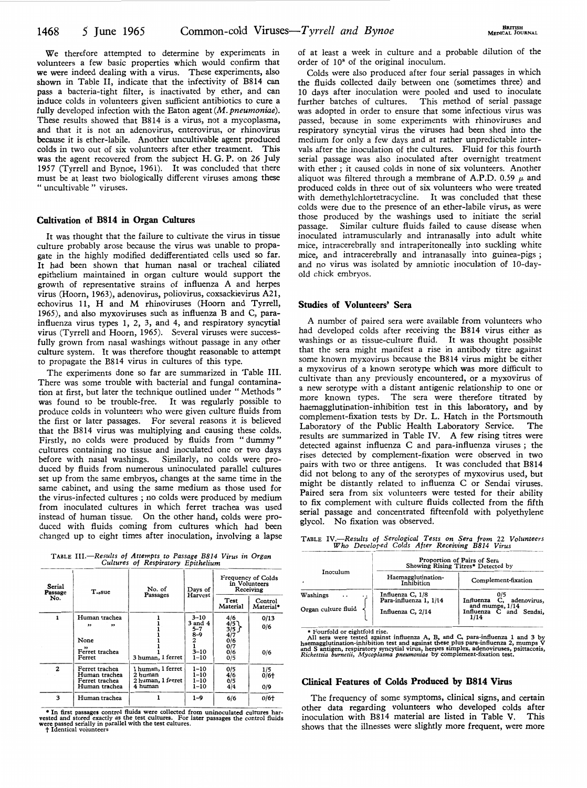We therefore attempted to determine by experiments in volunteers a few basic properties which would confirm that we were indeed dealing with a virus. These experiments, also shown in Table II, indicate that the infectivity of B814 can pass a bacteria-tight filter, is inactivated by ether, and can induce colds in volunteers given sufficient antibiotics to cure a fully developed infection with the Eaton *agent* (*M. pneumoniae*). These results showed that B814 is a virus, not a mycoplasma, and that it is not an adenovirus, enterovirus, or rhinovirus because it is ether-labile. Another uncultivable agent produced colds in two out of six volunteers after ether treatment. This was the agent recovered from the subject H. G. P. on 26 July 1957 (Tyrrell and Bynoe, 1961). It was concluded that there must be at least two biologically different viruses among these " uncultivable " viruses.

## Cultivation of B814 in Organ Cultures

It was thought that the failure to cultivate the virus in tissue culture probably arose because the virus was unable to propagate in the highly modified dedifferentiated cells used so far. It had been shown that human nasal or tracheal ciliated epithelium maintained in organ culture would support the growth of representative strains of influenza A and herpes virus (Hoorn, 1963), adenovirus, poliovirus, coxsackievirus A21, echovirus 11, H and M rhinoviruses (Hoorn and Tyrrell, 1965), and also myxoviruses such as influenza B and C, parainfluenza virus types 1, 2, 3, and 4, and respiratory syncytial virus (Tyrrell and Hoorn, 1965). Several viruses were successfully grown from nasal washings without passage in any other culture system. It was therefore thought reasonable to attempt to propagate the B814 virus in cultures of this type.

The experiments done so far are summarized in Table III. There was some trouble with bacterial and fungal contamination at first, but later the technique outlined under " Methods " was found to be trouble-free. It was regularly possible to produce colds in volunteers who were given culture fluids from the first or later passages. For several reasons it is believed that the B814 virus was multiplying and causing these colds. Firstly, no colds were produced by fluids from "dummy" cultures containing no tissue and inoculated one or two days before with nasal washings. Similarly, no colds were produced by fluids from numerous uninoculated parallel cultures set up from the same embryos, changes at the same time in the same cabinet, and using the same medium as those used for the virus-infected cultures ; no colds were produced by medium from inoculated cultures in which ferret trachea was used instead of human tissue. On the other hand, colds were produced with fluids coming from cultures which had been changed up to eight times after inoculation, involving a lapse

TABLE *III.-Results of Attempts to Passage B814 Virus in Organ Cultures of Respiratory Epithelium* 

| Serial<br>Passage | $T_{.55}ue$                                                                               | No. of<br>Passages                                           | Days of<br>Harvest                                                | Frequency of Colds<br>in Volunteers<br>Receiving               |                      |  |
|-------------------|-------------------------------------------------------------------------------------------|--------------------------------------------------------------|-------------------------------------------------------------------|----------------------------------------------------------------|----------------------|--|
| No.               |                                                                                           |                                                              |                                                                   | Test<br>Material                                               | Control<br>Material* |  |
| 1                 | Human trachea<br>$^{\circ}$<br>$\bullet$<br>None<br>$\bullet$<br>Ferret trachea<br>Ferret | 3 human, 1 ferret                                            | $3 - 10$<br>3 and 4<br>$5 - 7$<br>$8 - 9$<br>$3 - 10$<br>$1 - 10$ | 4/6<br>$\frac{4/5}{3/5}$<br>$\frac{4}{7}$<br>0/7<br>0/6<br>0/5 | 0/13<br>0/6<br>0/6   |  |
| 2                 | Ferret trachea<br>Human trachea<br>Ferret trachea<br>Human trachea                        | 1 human, 1 ferret<br>2 human<br>2 human, 1 ferret<br>4 human | $1 - 10$<br>$1 - 10$<br>$1 - 10$<br>$1 - 10$                      | 0/5<br>4/6<br>0/5<br>4/4                                       | 1/5<br>$0/6+$<br>0/9 |  |
| 3                 | Human trachea                                                                             |                                                              | $1 - 9$                                                           | 6/6                                                            | $0/6+$               |  |

3<br>  $\bullet$  Human trachea  $\begin{array}{|c|c|c|c|}\n\hline\n1 & 1 & -9 & 6/6 & 0/6\dagger \\
\hline\n\end{array}$ <br>  $\bullet$  In first passages control fluids were collected from uninoculated cultures harvested and stored exactly as the test cultures. For later passa

of at least a week in culture and a probable dilution of the order of 108 of the original inoculum.

Colds were also produced after four serial passages in which the fluids collected daily between one (sometimes three) and 10 days after inoculation were pooled and used to inoculate further batches of cultures. This method of serial passage was adopted in order to ensure that some infectious virus was passed, because in some experiments with rhinoviruses and respiratory syncytial virus the viruses had been shed into the medium for only a few days and at rather unpredictable intervals after the inoculation of the cultures. Fluid for this fourth serial passage was also inoculated after overnight treatment with ether ; it caused colds in none of six volunteers. Another aliquot was filtered through a membrane of A.P.D. 0.59  $\mu$  and produced colds in three out of six volunteers who were treated with demethylchlortetracycline. It was concluded that these colds were due to the presence of an ether-labile virus, as were those produced by the washings used to initiate the serial passage. Similar culture fluids failed to cause disease when Similar culture fluids failed to cause disease when inoculated intramuscularly and intranasally into adult white mice, intracerebrally and intraperitoneally into suckling white mice, and intracerebrally and intranasally into guinea-pigs ; and no virus was isolated by amniotic inoculation of 10-dayold chick embryos.

### Studies of Volunteers' Sera

A number of paired sera were available from volunteers who had developed colds after receiving the B814 virus either as washings or as tissue-culture fluid. It was thought possible that the sera might manifest a rise in antibody titre against some known myxovirus because the B814 virus might be either a myxovirus of a known serotype which was more difficult to cultivate than any previously encountered, or a myxovirus of a new serotype with a distant antigenic relationship to one or more known types. The sera were therefore titrated by haemagglutination-inhibition test in this laboratory, and by complement-fixation tests by Dr. L. Hatch in the Portsmouth Laboratory of the Public Health Laboratory Service. The results are summarized in Table IV. A few rising titres were detected against influenza C and para-influenza viruses ; the rises detected by complement-fixation were observed in two pairs with two or three antigens. It was concluded that B814 did not belong to any of the serotypes of myxovirus used, but might be distantly related to influenza C or Sendai viruses. Paired sera from six volunteers were tested for their ability to fix complement with culture fluids collected from the fifth serial passage and concentrated fifteenfold with polyethylene glycol. No fixation was observed.

TABLE *IV.-Results of Serological Tests on Sera from* 22 *Volunteers Who Developed Colds After Receiving B814 Virus* 

| Inoculum               | Proportion of Pairs of Sera<br>Showing Rising Titres* Detected by |                                                    |  |  |  |
|------------------------|-------------------------------------------------------------------|----------------------------------------------------|--|--|--|
|                        | Haemagglutination-<br>Inhibition                                  | Complement-fixation                                |  |  |  |
| Washings<br>. .<br>. . | Influenza C, 1/8<br>Para-influenza 1, 1/14                        | Influenza C,<br>adenovirus.                        |  |  |  |
| Organ culture fluid    | Influenza C, 2/14                                                 | and mumps, 1/14<br>Influenza C and Sendai,<br>1/14 |  |  |  |

\* Fourfold or eightfold rise.<br>All sera were tested against influenza A, B, and C, para-influenza 1 and 3 by<br>haemagglutination-inhibition test and against these plus para-influenza 2, mumps V<br>and S antigen, respiratory sync

# Clinical Features of Colds Produced by B814 Virus

The frequency of some symptoms, clinical signs, and certain other data regarding volunteers who developed colds after inoculation with B814 material are listed in Table V. This shows that the illnesses were slightly more frequent, were more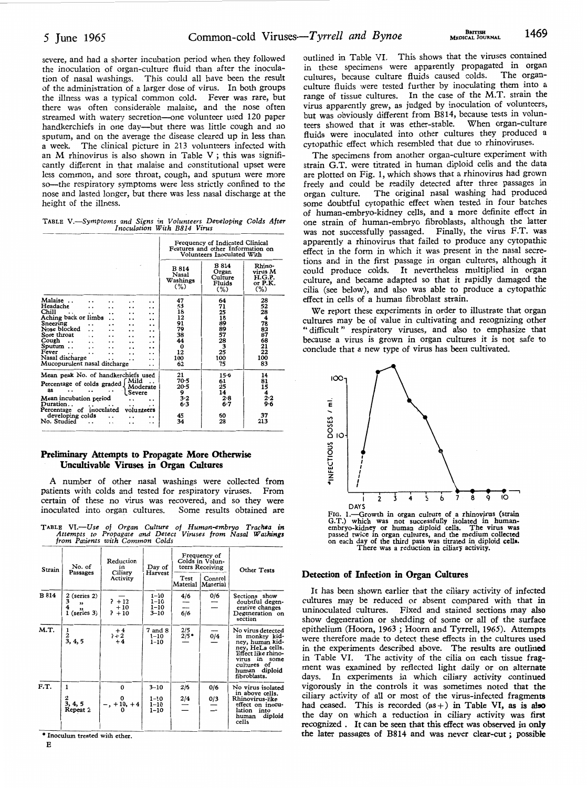severe, and had a shorter incubation period when they followed the inoculation of organ-culture fluid than after the inoculation of nasal washings. This could all have been the result of the administration of a larger dose of virus. In both groups the illness was a typical common cold. Fever was rare, but there was often considerable malaise, and the nose often streamed with watery secretion--one volunteer used 120 paper handkerchiefs in one day-but there was little cough and no sputum, and on the average the disease cleared up in less than a week. The clinical picture in 213 volunteers infected with an M rhinovirus is also shown in Table V ; this was significantly different in that malaise and constitutional upset were less common, and sore throat, cough, and sputum were more so—the respiratory symptoms were less strictly confined to the nose and lasted longer, but there was less nasal discharge at the height of the illness.

TABLE V.—Symptoms and Signs in Volunteers Developing Colds After *Inoculation With B814 Virus* 

|                                                                                                                                                                                                                                                                                                                           | Frequency of Indicated Clinical<br>Features and other Information on<br>Volunteers Inoculated With |                                                                      |                                                                      |  |
|---------------------------------------------------------------------------------------------------------------------------------------------------------------------------------------------------------------------------------------------------------------------------------------------------------------------------|----------------------------------------------------------------------------------------------------|----------------------------------------------------------------------|----------------------------------------------------------------------|--|
|                                                                                                                                                                                                                                                                                                                           | <b>B</b> 814<br>Nasal<br>Washings<br>(%)                                                           | <b>B</b> 814<br>Organ<br>Culture<br>Fluids<br>(%)                    | Rhino-<br>virus M<br>H.G.P.<br>or P.K.<br>(%)                        |  |
| Malaise<br>. .<br>Headache<br>. .<br>Chill<br>. .<br>Aching back or limbs<br>. .<br>Sneezing<br>$\ddot{\phantom{0}}$<br>. .<br>Nose blocked<br>. .<br>Sore throat<br>. .<br>Cough<br>. .<br>. .<br>Sputum<br>. .<br>Fever<br>$\ddot{\phantom{1}}$<br>. .<br>Nasal discharge<br>. .<br>Mucopurulent nasal discharge<br>. . | 47<br>53<br>18<br>12<br>91<br>79<br>38<br>44<br>0<br>12<br>100<br>62                               | 64<br>71<br>25<br>18<br>89<br>89<br>57<br>28<br>3<br>25<br>100<br>75 | 28<br>52<br>28<br>4<br>78<br>82<br>87<br>68<br>21<br>22<br>100<br>83 |  |
| Mean peak No. of handkerchiefs used<br>`Mild<br>Percentage of colds graded<br>Moderate<br>as<br>Severe<br>Mean incubation period<br>. .<br>Duration<br>Percentage of inoculated<br>volunteers<br>developing colds<br>. .<br>No. Studied<br>. .                                                                            | 21<br>70.5<br>20.5<br>9<br>3.2<br>6.3<br>45<br>34                                                  | $15 - 6$<br>61<br>25<br>14<br>2.8<br>6.7<br>60<br>28                 | 14<br>81<br>15<br>4<br>2.2<br>9.6<br>37<br>213                       |  |

# Preliminary Attempts to Propagate More Otherwise Uncultivable Viruses in Organ Cultures

A number of other nasal washings were collected from patients with colds and tested for respiratory viruses. From certain of these no virus was recovered, and so they were inoculated into organ cultures.

| TABLE VI.—Use of Organ Culture of Human-embryo Trachea in    |  |  |  |  |  |
|--------------------------------------------------------------|--|--|--|--|--|
| Attempts to Propagate and Detect Viruses from Nasal Washings |  |  |  |  |  |
| from Patients with Common Colds                              |  |  |  |  |  |

| Strain       | No. of<br>Passages                       | Reduction<br>in<br>Ciliary<br>Activity | Day of<br>Harvest                            |                     | Frequency of<br>Colds in Volun-<br>teers Receiving | <b>Other Tests</b>                                                                                                                                                      |
|--------------|------------------------------------------|----------------------------------------|----------------------------------------------|---------------------|----------------------------------------------------|-------------------------------------------------------------------------------------------------------------------------------------------------------------------------|
|              |                                          |                                        |                                              | Test<br>Material    | Control<br>Material                                |                                                                                                                                                                         |
| <b>B</b> 814 | 2 (series 2)<br>3<br>"<br>$1$ (series 3) | $? + 12$<br>$+10$<br>$? + 10$          | $1 - 10$<br>$1 - 10$<br>$1 - 10$<br>$3 - 10$ | 4/6<br>6/6          | 0/6                                                | Sections show<br>doubtful degen-<br>erative changes<br>Degeneration on<br>section                                                                                       |
| M.T.         | $\frac{1}{2}$<br>3, 4, 5                 | $+4$<br>$? + 2$<br>$+4$                | $7$ and $8$<br>$1 - 10$<br>$1 - 10$          | $\frac{2/5}{2/5}$ * | 0/4                                                | No virus detected<br>in monkey kid-<br>ney, human kid-<br>ney, HeLa cells.<br>Effect like rhino-<br>virus<br>in<br>some<br>cultures of<br>human diploid<br>fibroblasts. |
| F.T.         | 1                                        | 0                                      | $3 - 10$                                     | 2/6                 | 0/6                                                | No virus isolated<br>in above cells.                                                                                                                                    |
|              | 3, 4, 5<br>Repeat 2                      | 0<br>$+10, +4$                         | 1-10<br>$1 - 10$<br>1–10                     | 2/4                 | 0/3                                                | Rhinovirus-like<br>effect on inocu-<br>lation<br>into<br>human<br>diploid<br>cells                                                                                      |

• Inoculum treated with ether.

outlined in Table VI. This shows that the viruses contained in these specimens were apparently propagated in organ cultures, because culture fluids caused colds. The organculture fluids were tested further by inoculating them into a range of tissue cultures. In the case of the M.T. strain the virus apparently grew, as judged by inoculation of volunteers, but was obviously different from B814, because tests in volunteers showed that it was ether-stable. When organ-culture fluids were inoculated into other cultures they produced a cytopathic effect which resembled that due to rhinoviruses.

The specimens from another organ-culture experiment with strain G.T. were titrated in human diploid cells and the data are plotted on Fig. 1, which shows that a rhinovirus had grown freely and could be readily detected after three passages in organ culture. The original nasal washing had produced some doubtful cytopathic effect when tested in four batches of human-embryo-kidney cells, and a more definite effect in one strain of human-embryo fibroblasts, although the latter was not successfully passaged. Finally, the virus F.T. was apparently a rhinovirus that failed to produce any cytopathic effect in the form in which it was present in the nasal secretions and in the first passage in organ cultures, although it could produce colds. It nevertheless multiplied in organ culture, and became adapted so that it rapidly damaged the cilia (see below), and also was able to produce a cytopathic effect in cells of a human fibroblast strain.

We report these experiments in order to illustrate that organ cultures may be of value in cultivating and recognizing other " difficult " respiratory viruses, and also to emphasize that because a virus is grown in organ cultures it is not safe to conclude that a new type of virus has been cultivated.



FIG. 1.-Growth in organ culture of a rhinovirus (strain G.T.) which was not successfully isolated in humanembryo-kidney or human diploid cells. The virus was passed twice *in* organ cultures, and the medium collected on each day of the third pass was titrated in diploid cella. There was a reduction in ciliary activity.

# Detection of Infection in Organ Cultures

It has been shown earlier that the ciliary activity of infected cultures may be reduced or absent compared with that in uninoculated cultures. Fixed and stained sections may also show degeneration or shedding of some or all of the surface epithelium (Hoorn, 1963 ; Hoorn and Tyrrell, 1965). Attempts were therefore made to detect these effects in the cultures used in the experiments described above. The results are outlined in Table VI. The activity of the cilia on each tissue fragment was examined by reflected light daily or on alternate days. In experiments in which ciliary activity continued vigorously in the controls it was sometimes noted that the ciliary activity of all or most of the virus-infected fragments had ceased. This is recorded  $(as +)$  in Table VI, as is also the day on which a reduction in ciliary activity was first recognized . It can be seen that this effect was observed in only the later passages of B814 and was never clear-cut; possible